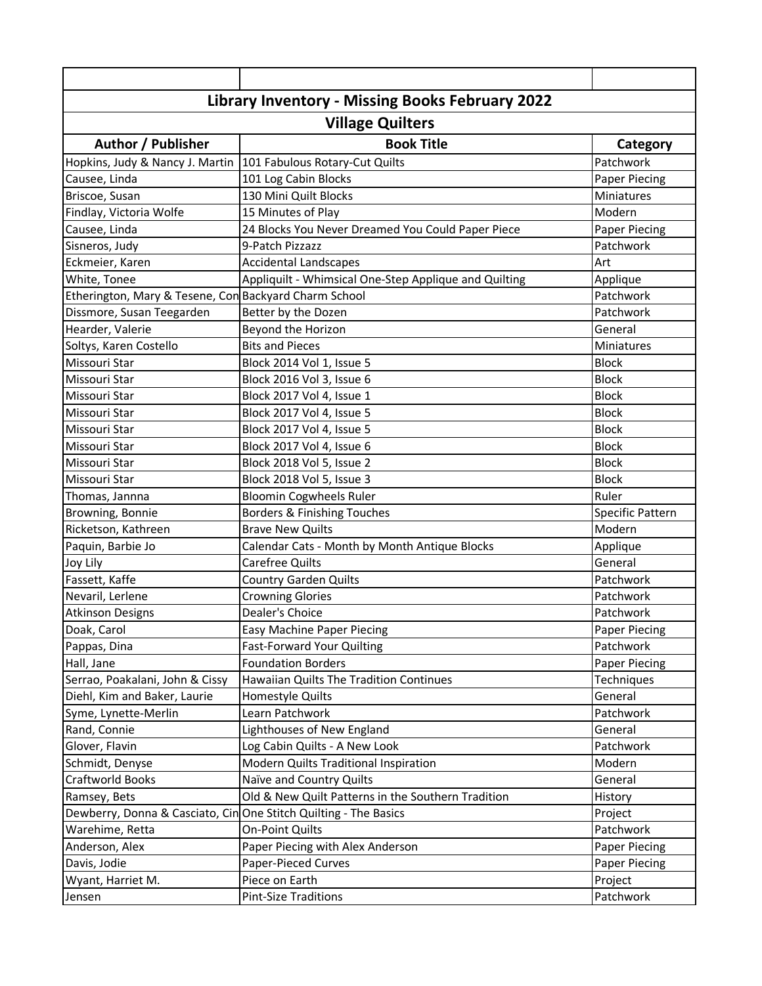| Library Inventory - Missing Books February 2022                  |                                                       |                      |  |
|------------------------------------------------------------------|-------------------------------------------------------|----------------------|--|
| <b>Village Quilters</b>                                          |                                                       |                      |  |
| Author / Publisher                                               | <b>Book Title</b>                                     | Category             |  |
| Hopkins, Judy & Nancy J. Martin                                  | 101 Fabulous Rotary-Cut Quilts                        | Patchwork            |  |
| Causee, Linda                                                    | 101 Log Cabin Blocks                                  | Paper Piecing        |  |
| Briscoe, Susan                                                   | 130 Mini Quilt Blocks                                 | Miniatures           |  |
| Findlay, Victoria Wolfe                                          | 15 Minutes of Play                                    | Modern               |  |
| Causee, Linda                                                    | 24 Blocks You Never Dreamed You Could Paper Piece     | Paper Piecing        |  |
| Sisneros, Judy                                                   | 9-Patch Pizzazz                                       | Patchwork            |  |
| Eckmeier, Karen                                                  | <b>Accidental Landscapes</b>                          | Art                  |  |
| White, Tonee                                                     | Appliquilt - Whimsical One-Step Applique and Quilting | Applique             |  |
| Etherington, Mary & Tesene, Con Backyard Charm School            |                                                       | Patchwork            |  |
| Dissmore, Susan Teegarden                                        | Better by the Dozen                                   | Patchwork            |  |
| Hearder, Valerie                                                 | Beyond the Horizon                                    | General              |  |
| Soltys, Karen Costello                                           | <b>Bits and Pieces</b>                                | Miniatures           |  |
| Missouri Star                                                    | Block 2014 Vol 1, Issue 5                             | <b>Block</b>         |  |
| Missouri Star                                                    | Block 2016 Vol 3, Issue 6                             | <b>Block</b>         |  |
| Missouri Star                                                    | Block 2017 Vol 4, Issue 1                             | <b>Block</b>         |  |
| Missouri Star                                                    | Block 2017 Vol 4, Issue 5                             | <b>Block</b>         |  |
| Missouri Star                                                    | Block 2017 Vol 4, Issue 5                             | <b>Block</b>         |  |
| Missouri Star                                                    | Block 2017 Vol 4, Issue 6                             | <b>Block</b>         |  |
| Missouri Star                                                    | Block 2018 Vol 5, Issue 2                             | <b>Block</b>         |  |
| Missouri Star                                                    | Block 2018 Vol 5, Issue 3                             | <b>Block</b>         |  |
| Thomas, Jannna                                                   | <b>Bloomin Cogwheels Ruler</b>                        | Ruler                |  |
| Browning, Bonnie                                                 | Borders & Finishing Touches                           | Specific Pattern     |  |
| Ricketson, Kathreen                                              | <b>Brave New Quilts</b>                               | Modern               |  |
| Paquin, Barbie Jo                                                | Calendar Cats - Month by Month Antique Blocks         | Applique             |  |
| Joy Lily                                                         | <b>Carefree Quilts</b>                                | General              |  |
| Fassett, Kaffe                                                   | <b>Country Garden Quilts</b>                          | Patchwork            |  |
| Nevaril, Lerlene                                                 | <b>Crowning Glories</b>                               | Patchwork            |  |
| <b>Atkinson Designs</b>                                          | Dealer's Choice                                       | Patchwork            |  |
| Doak, Carol                                                      | Easy Machine Paper Piecing                            | <b>Paper Piecing</b> |  |
| Pappas, Dina                                                     | <b>Fast-Forward Your Quilting</b>                     | Patchwork            |  |
| Hall, Jane                                                       | <b>Foundation Borders</b>                             | <b>Paper Piecing</b> |  |
| Serrao, Poakalani, John & Cissy                                  | Hawaiian Quilts The Tradition Continues               | Techniques           |  |
| Diehl, Kim and Baker, Laurie                                     | Homestyle Quilts                                      | General              |  |
| Syme, Lynette-Merlin                                             | Learn Patchwork                                       | Patchwork            |  |
| Rand, Connie                                                     | Lighthouses of New England                            | General              |  |
| Glover, Flavin                                                   | Log Cabin Quilts - A New Look                         | Patchwork            |  |
| Schmidt, Denyse                                                  | Modern Quilts Traditional Inspiration                 | Modern               |  |
| Craftworld Books                                                 | Naïve and Country Quilts                              | General              |  |
| Ramsey, Bets                                                     | Old & New Quilt Patterns in the Southern Tradition    | History              |  |
| Dewberry, Donna & Casciato, Cin One Stitch Quilting - The Basics |                                                       | Project              |  |
| Warehime, Retta                                                  | <b>On-Point Quilts</b>                                | Patchwork            |  |
| Anderson, Alex                                                   | Paper Piecing with Alex Anderson                      | <b>Paper Piecing</b> |  |
| Davis, Jodie                                                     | Paper-Pieced Curves                                   | Paper Piecing        |  |
| Wyant, Harriet M.                                                | Piece on Earth                                        | Project              |  |
| Jensen                                                           | <b>Pint-Size Traditions</b>                           | Patchwork            |  |
|                                                                  |                                                       |                      |  |